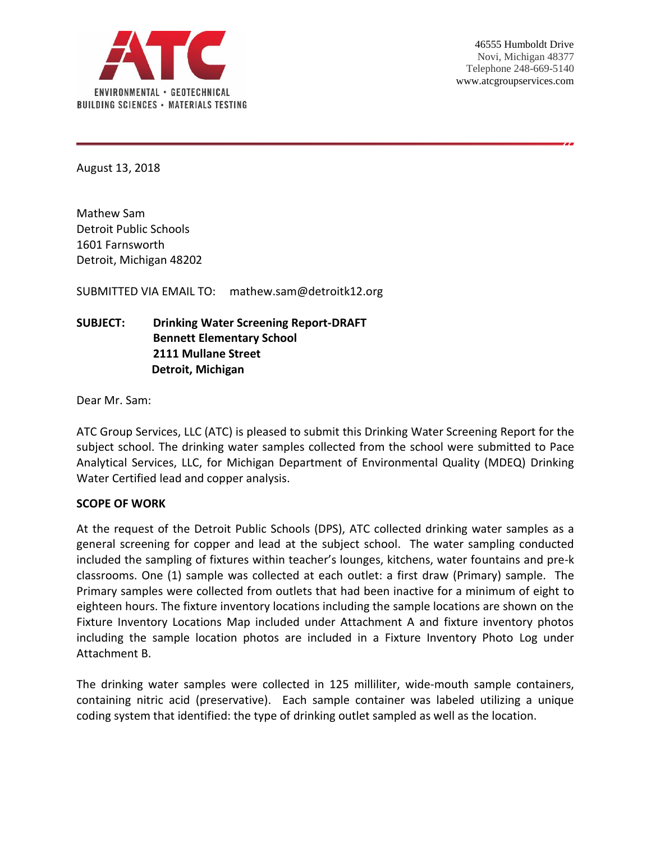

August 13, 2018

Mathew Sam Detroit Public Schools 1601 Farnsworth Detroit, Michigan 48202

SUBMITTED VIA EMAIL TO: mathew.sam@detroitk12.org

# **SUBJECT: Drinking Water Screening Report-DRAFT Bennett Elementary School 2111 Mullane Street Detroit, Michigan**

Dear Mr. Sam:

ATC Group Services, LLC (ATC) is pleased to submit this Drinking Water Screening Report for the subject school. The drinking water samples collected from the school were submitted to Pace Analytical Services, LLC, for Michigan Department of Environmental Quality (MDEQ) Drinking Water Certified lead and copper analysis.

### **SCOPE OF WORK**

At the request of the Detroit Public Schools (DPS), ATC collected drinking water samples as a general screening for copper and lead at the subject school. The water sampling conducted included the sampling of fixtures within teacher's lounges, kitchens, water fountains and pre-k classrooms. One (1) sample was collected at each outlet: a first draw (Primary) sample. The Primary samples were collected from outlets that had been inactive for a minimum of eight to eighteen hours. The fixture inventory locations including the sample locations are shown on the Fixture Inventory Locations Map included under Attachment A and fixture inventory photos including the sample location photos are included in a Fixture Inventory Photo Log under Attachment B.

The drinking water samples were collected in 125 milliliter, wide-mouth sample containers, containing nitric acid (preservative). Each sample container was labeled utilizing a unique coding system that identified: the type of drinking outlet sampled as well as the location.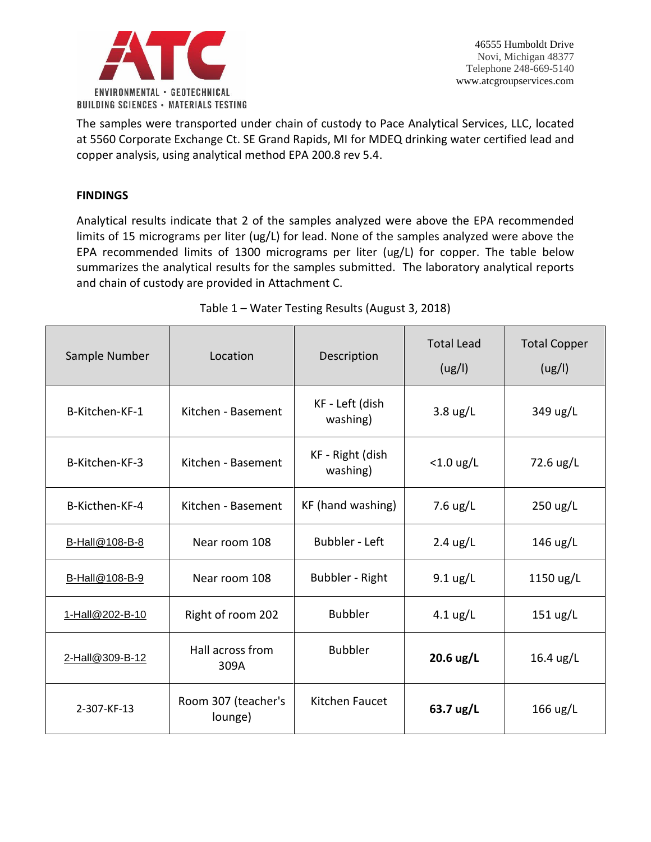

The samples were transported under chain of custody to Pace Analytical Services, LLC, located at 5560 Corporate Exchange Ct. SE Grand Rapids, MI for MDEQ drinking water certified lead and copper analysis, using analytical method EPA 200.8 rev 5.4.

# **FINDINGS**

Analytical results indicate that 2 of the samples analyzed were above the EPA recommended limits of 15 micrograms per liter (ug/L) for lead. None of the samples analyzed were above the EPA recommended limits of 1300 micrograms per liter (ug/L) for copper. The table below summarizes the analytical results for the samples submitted. The laboratory analytical reports and chain of custody are provided in Attachment C.

| Sample Number   | Location                       | Description                  | <b>Total Lead</b><br>(ug/l)                                   | <b>Total Copper</b><br>(ug/l) |
|-----------------|--------------------------------|------------------------------|---------------------------------------------------------------|-------------------------------|
| B-Kitchen-KF-1  | Kitchen - Basement             | KF - Left (dish<br>washing)  | $3.8 \text{ ug/L}$                                            | 349 ug/L                      |
| B-Kitchen-KF-3  | Kitchen - Basement             | KF - Right (dish<br>washing) | $<$ 1.0 ug/L                                                  | 72.6 ug/L                     |
| B-Kicthen-KF-4  | Kitchen - Basement             | KF (hand washing)            | 7.6 $\frac{\text{u} \cdot \text{u}}{\text{u} \cdot \text{u}}$ | $250 \text{ ug/L}$            |
| B-Hall@108-B-8  | Near room 108                  | <b>Bubbler - Left</b>        | $2.4 \text{ ug/L}$                                            | 146 ug/L                      |
| B-Hall@108-B-9  | Near room 108                  | Bubbler - Right              | $9.1 \text{ ug/L}$                                            | 1150 ug/L                     |
| 1-Hall@202-B-10 | Right of room 202              | <b>Bubbler</b>               | 4.1 $\frac{u}{L}$                                             | $151 \text{ ug/L}$            |
| 2-Hall@309-B-12 | Hall across from<br>309A       | <b>Bubbler</b>               | 20.6 ug/L                                                     | $16.4$ ug/L                   |
| 2-307-KF-13     | Room 307 (teacher's<br>lounge) | Kitchen Faucet               | 63.7 ug/L                                                     | 166 ug/L                      |

## Table 1 – Water Testing Results (August 3, 2018)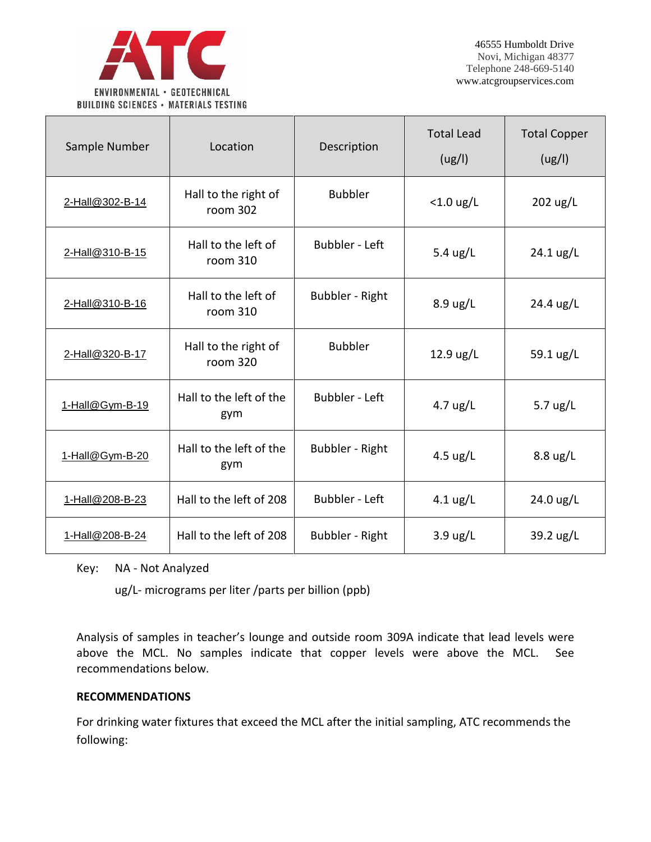

| Sample Number   | Location                         | Description           | <b>Total Lead</b><br>(ug/l)                                     | <b>Total Copper</b><br>(ug/l) |
|-----------------|----------------------------------|-----------------------|-----------------------------------------------------------------|-------------------------------|
| 2-Hall@302-B-14 | Hall to the right of<br>room 302 | <b>Bubbler</b>        | $<$ 1.0 ug/L                                                    | 202 ug/L                      |
| 2-Hall@310-B-15 | Hall to the left of<br>room 310  | <b>Bubbler - Left</b> | 5.4 ug/L                                                        | 24.1 ug/L                     |
| 2-Hall@310-B-16 | Hall to the left of<br>room 310  | Bubbler - Right       | 8.9 ug/L                                                        | 24.4 ug/L                     |
| 2-Hall@320-B-17 | Hall to the right of<br>room 320 | <b>Bubbler</b>        | 12.9 ug/L                                                       | 59.1 ug/L                     |
| 1-Hall@Gym-B-19 | Hall to the left of the<br>gym   | <b>Bubbler - Left</b> | $4.7 \text{ ug/L}$                                              | 5.7 $\frac{1}{2}$             |
| 1-Hall@Gym-B-20 | Hall to the left of the<br>gym   | Bubbler - Right       | 4.5 $\frac{\text{u} \times \text{u}}{\text{u} \times \text{u}}$ | $8.8 \text{ ug/L}$            |
| 1-Hall@208-B-23 | Hall to the left of 208          | <b>Bubbler - Left</b> | $4.1 \text{ ug/L}$                                              | 24.0 ug/L                     |
| 1-Hall@208-B-24 | Hall to the left of 208          | Bubbler - Right       | $3.9 \text{ ug/L}$                                              | 39.2 ug/L                     |

Key: NA - Not Analyzed

ug/L- micrograms per liter /parts per billion (ppb)

Analysis of samples in teacher's lounge and outside room 309A indicate that lead levels were above the MCL. No samples indicate that copper levels were above the MCL. See recommendations below.

## **RECOMMENDATIONS**

For drinking water fixtures that exceed the MCL after the initial sampling, ATC recommends the following: